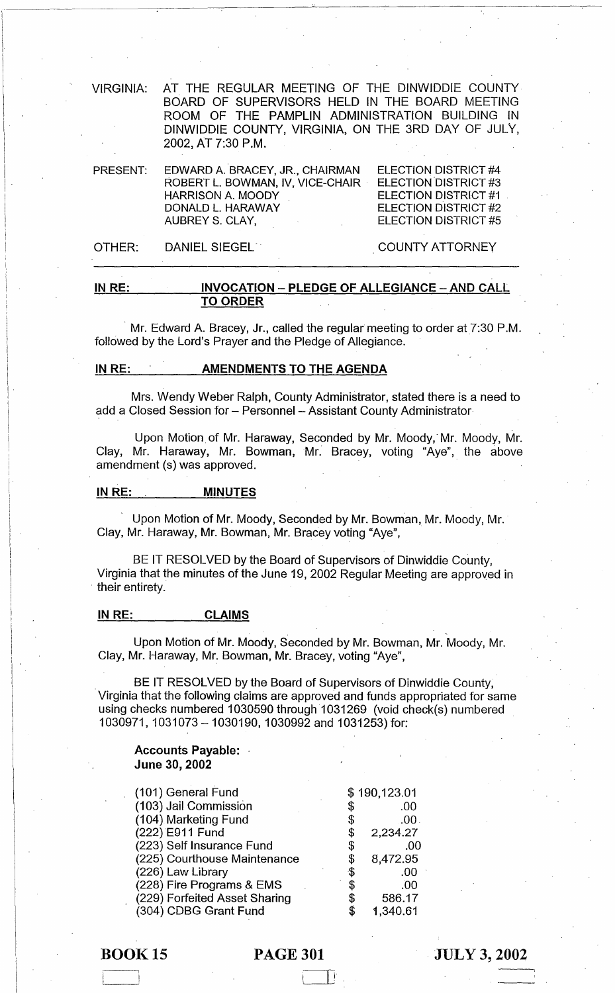| VIRGINIA: AT THE REGULAR MEETING OF THE DINWIDDIE COUNTY |
|----------------------------------------------------------|
| BOARD OF SUPERVISORS HELD IN THE BOARD MEETING           |
| ROOM OF THE PAMPLIN ADMINISTRATION BUILDING IN           |
| DINWIDDIE COUNTY, VIRGINIA, ON THE 3RD DAY OF JULY,      |
| 2002, AT 7:30 P.M.                                       |

| PRESENT: | EDWARD A. BRACEY, JR., CHAIRMAN  | ELECTION DISTRICT #4        |
|----------|----------------------------------|-----------------------------|
|          | ROBERT L. BOWMAN, IV, VICE-CHAIR | ELECTION DISTRICT #3        |
|          | <b>HARRISON A. MOODY</b>         | <b>ELECTION DISTRICT #1</b> |
|          | DONALD L. HARAWAY                | ELECTION DISTRICT #2        |
|          | AUBREY S. CLAY,                  | ELECTION DISTRICT #5        |
|          |                                  |                             |

OTHER: DANIEL SIEGEL COUNTY ATTORNEY

I .

 $\overline{a}$ 

#### **INRE: INVOCATION - PLEDGE OF ALLEGIANCE - AND CALL TO ORDER**

Mr. Edward A. Bracey, Jr., called the regular meeting to order at 7:30 P.M. followed by the Lord's Prayer and the Pledge of Allegiance.

#### **IN RE: AMENDMENTS TO THE AGENDA**

Mrs. Wendy Weber Ralph, County Administrator, stated there is a need to add a Closed Session for - Personnel - Assistant County Administrator

Upon Motion of Mr. Haraway, Seconded by Mr. Moody, Mr. Moody, Mr. Clay, Mr. Haraway, Mr. Bowman, Mr. Bracey, voting "Aye", the above amendment (s) was approved.

#### **IN RE: MINUTES**

Upon Motion of Mr. Moody, Seconded by Mr. Bowman, Mr. Moody, Mr. Clay, Mr. Haraway, Mr. Bowman, Mr. Bracey voting "Aye",

BE IT RESOLVED by the Board of Supervisors of Dinwiddie County, Virginia that the minutes of the June 19, 2002 Regular Meeting are approved in their entirety.

#### **IN RE: CLAIMS**

Upon Motion of Mr. Moody, Seconded by Mr. Bowman, Mr. Moody, Mr. Clay, Mr. Haraway, Mr. Bowman, Mr. Bracey, voting "Aye",

, BE IT RESOLVED by the Board of Supervisors of Dinwiddie County, Virginia that the following claims are approved and funds appropriated for same using checks numbered 1030590 through 1031269 (void check(s) numbered  $1030971, 1031073 - 1030190, 1030992$  and  $1031253$  for:

| \$190,123.01   |
|----------------|
| \$<br>.00      |
| \$<br>.00.     |
| \$<br>2,234.27 |
| \$<br>.00      |
| \$<br>8,472.95 |
| \$<br>.00      |
| \$<br>.00.     |
| \$<br>586.17   |
| \$<br>1,340.61 |
|                |

BOOK 15 **PAGE 301** 

**JULY 3,2002**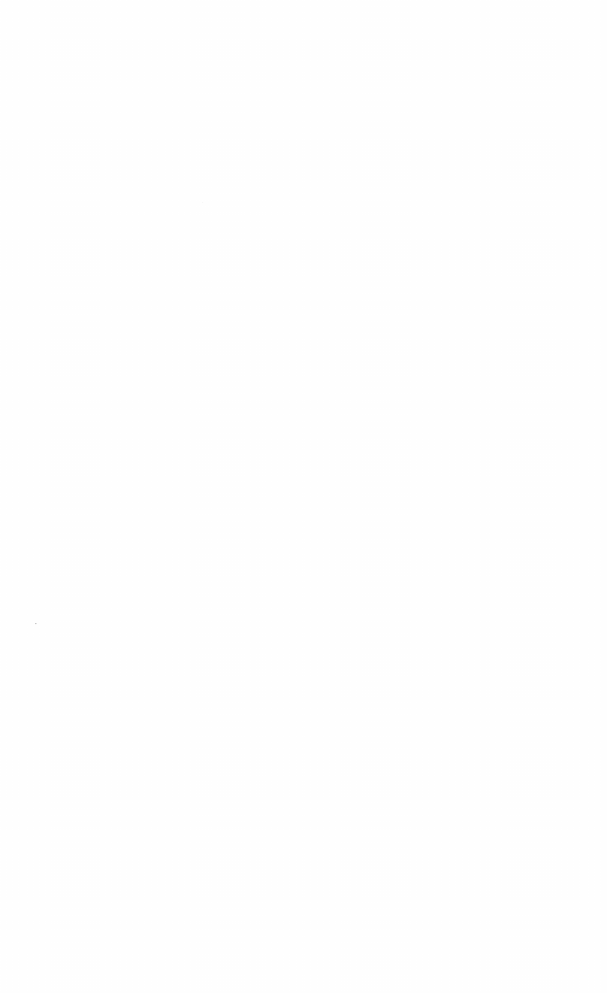$\mathcal{A}^{\text{max}}_{\text{max}}$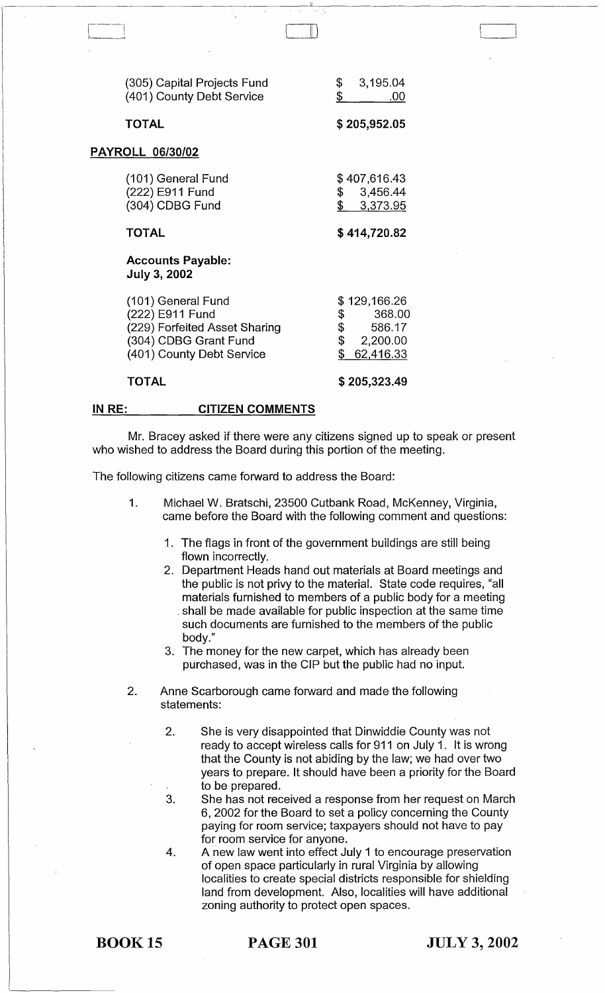| (305) Capital Projects Fund<br>(401) County Debt Service                                                                     | \$<br>3,195.04<br>\$<br>.00                                                       |
|------------------------------------------------------------------------------------------------------------------------------|-----------------------------------------------------------------------------------|
| <b>TOTAL</b>                                                                                                                 | \$205,952.05                                                                      |
| <b>PAYROLL 06/30/02</b>                                                                                                      |                                                                                   |
| (101) General Fund<br>(222) E911 Fund<br>(304) CDBG Fund                                                                     | \$407,616.43<br>$\int$<br>3,456.44<br>\$<br>3,373.95                              |
| <b>TOTAL</b>                                                                                                                 | \$414,720.82                                                                      |
| <b>Accounts Payable:</b><br><b>July 3, 2002</b>                                                                              |                                                                                   |
| (101) General Fund<br>(222) E911 Fund<br>(229) Forfeited Asset Sharing<br>(304) CDBG Grant Fund<br>(401) County Debt Service | \$129,166.26<br>\$<br>368.00<br>\$<br>586.17<br>\$<br>2,200.00<br>\$<br>62,416.33 |
| TOTAL                                                                                                                        | \$205,323.49                                                                      |

#### IN RE: CITIZEN COMMENTS

[-~-i

Mr. Bracey asked if there were any citizens signed up to speak or present who wished to address the Board during this portion of the meeting.

II)

The following citizens came forward to address the Board:

- 1. Michael W. Bratschi, 23500 Cutbank Road, McKenney, Virginia, came before the Board with the following comment and questions:
	- 1. The flags in front of the government buildings are still being flown incorrectly.
	- 2. Department Heads hand out materials at Board meetings and the public is not privy to the material. State code requires, "all materials furnished to members of a public body for a meeting . shall be made available for public inspection at the same time such documents are furnished to the members of the public body."
	- 3. The money for the new carpet, which has already been purchased, was in the CIP but the public had no input.
- 2. Anne Scarborough came forward and made the following statements:
	- 2. She is very disappointed that Dinwiddie County was not ready to accept wireless calls for 911 on July 1. It is wrong that the County is not abiding by the law; we had over two years to prepare. It should have been a priority for the Board to be prepared.
	- 3. She has not received a response from her request on March 6, 2002 for the Board to set a policy concerning the County paying for room service; taxpayers should not have to pay for room service for anyone.
	- 4. A new law went into effect July 1 to encourage preservation of open space particularly in rural Virginia by allowing localities to create special districts responsible for shielding land from development. Also, localities will have additional zoning authority to protect open spaces.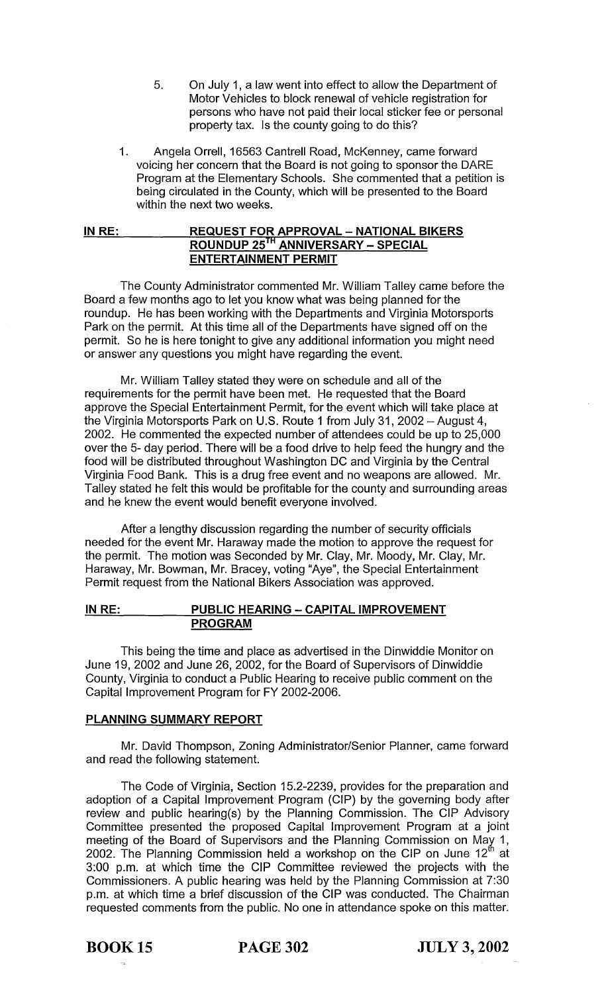- 5. On July 1, a law went into effect to allow the Department of Motor Vehicles to block renewal of vehicle registration for persons who have not paid their local sticker fee or personal property tax. Is the county going to do this?
- 1. Angela Orrell, 16563 Cantrell Road, McKenney, came forward voicing her concern that the Board is not going to sponsor the DARE Program at the Elementary Schools. She commented that a petition is being circulated in the County, which will be presented to the Board within the next two weeks.

#### **IN RE: REQUEST FOR APPROVAL - NATIONAL BIKERS ROUNDUP 25TH ANNIVERSARY - SPECIAL ENTERTAINMENT PERMIT**

The County Administrator commented Mr. William Talley came before the Board a few months ago to let you know what was being planned for the roundup. He has been working with the Departments and Virginia Motorsports Park on the permit. At this time all of the Departments have signed off on the permit. So he is here tonight to give any additional information you might need or answer any questions you might have regarding the event.

Mr. William Talley stated they were on schedule and all of the requirements for the permit have been met. He requested that the Board approve the Special Entertainment Permit, for the event which will take place at the Virginia Motorsports Park on U.S. Route 1 from July 31, 2002 - August 4, 2002. He commented the expected number of attendees could be up to 25,000 over the 5- day period. There will be a food drive to help feed the hungry and the food will be distributed throughout Washington DC and Virginia by the Central Virginia Food Bank. This is a drug free event and no weapons are allowed. Mr. Talley stated he felt this would be profitable for the county and surrounding areas and he knew the event would benefit everyone involved.

After a lengthy discussion regarding the number of security officials needed for the event Mr. Haraway made the motion to approve the request for the permit. The motion was Seconded by Mr. Clay, Mr. Moody, Mr. Clay, Mr. Haraway, Mr. Bowman, Mr. Bracey, voting "Aye", the Special Entertainment Permit request from the National Bikers Association was approved.

## **IN RE: PUBLIC HEARING - CAPITAL IMPROVEMENT PROGRAM**

This being the time and place as advertised in the Dinwiddie Monitor on June 19, 2002 and June 26, 2002, for the Board of Supervisors of Dinwiddie County, Virginia to conduct a Public Hearing to receive public comment on the Capital Improvement Program for FY 2002-2006.

## **PLANNING SUMMARY REPORT**

Mr. David Thompson, Zoning Administrator/Senior Planner, came forward and read the following statement.

The Code of Virginia, Section 15.2-2239, provides for the preparation and adoption of a Capital Improvement Program (CIP) by the governing body after review and public hearing(s) by the Planning Commission. The CIP Advisory Committee presented the proposed Capital Improvement Program at a joint meeting of the Board of Supervisors and the Planning Commission on May 1,  $2002$ . The Planning Commission held a workshop on the CIP on June  $12^{\text{th}}$  at 3:00 p.m. at which time the CIP Committee reviewed the projects with the Commissioners. A public hearing was held by the Planning Commission at 7:30 p.m. at which time a brief discussion of the CIP was conducted. The Chairman requested comments from the public. No one in attendance spoke on this matter.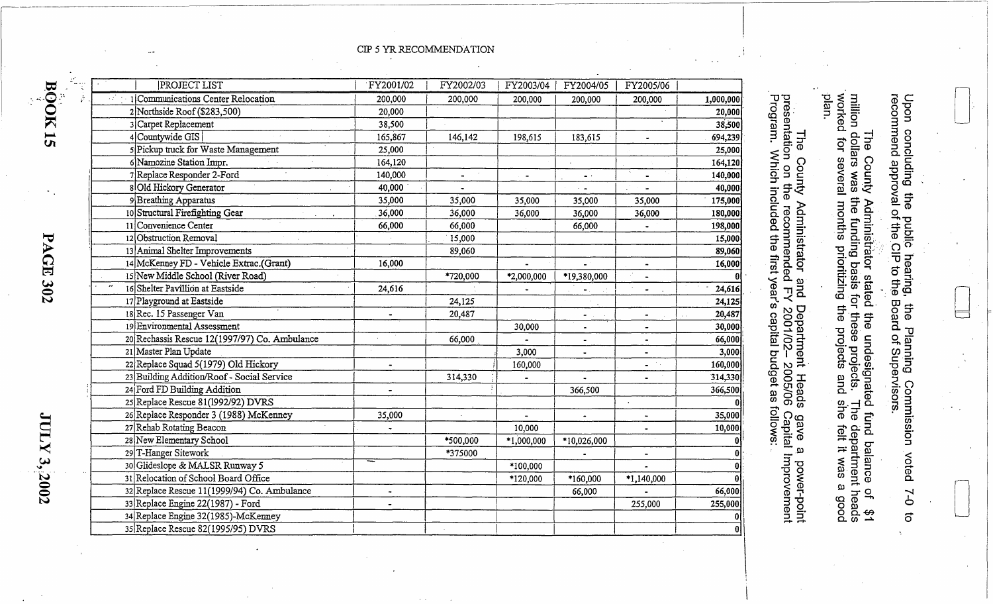CIP 5 YR RECOMMENDATION

| <b>PROJECT LIST</b>                           | FY2001/02 | FY2002/03      | FY2003/04                | FY2004/05          | FY2005/06                    |           |
|-----------------------------------------------|-----------|----------------|--------------------------|--------------------|------------------------------|-----------|
| 1 Communications Center Relocation            | 200,000   | 200,000        | 200,000                  | 200,000            | 200,000                      | 1,000,000 |
| 2 Northside Roof (\$283,500)                  | 20,000    |                |                          |                    |                              | 20,000    |
| 3 Carpet Replacement                          | 38,500    |                |                          |                    |                              | 38,500    |
| 4 Countywide GIS                              | 165,867   | 146,142        | 198,615                  | 183,615            | $\ddot{\phantom{1}}$         | 694,239   |
| 5 Pickup truck for Waste Management           | 25,000    |                |                          |                    |                              | 25,000    |
| 6 Namozine Station Impr.                      | 164,120   |                |                          |                    |                              | 164,120   |
| 7 Replace Responder 2-Ford                    | 140,000   |                | $\blacksquare$           | $\sim$ $\sim$      | $\blacksquare$               | 140,000   |
| 8 Old Hickory Generator                       | 40,000    | $\blacksquare$ |                          |                    | ٠.                           | 40,000    |
| 9 Breathing Apparatus                         | 35,000    | 35,000         | 35,000                   | 35,000             | 35,000                       | 175,000   |
| 10 Structural Firefighting Gear               | 36,000    | 36,000         | 36,000                   | 36,000             | 36,000                       | 180,000   |
| 11 Convenience Center                         | 66,000    | 66,000         |                          | 66,000             |                              | 198,000   |
| 12 Obstruction Removal                        |           | 15,000         |                          |                    |                              | 15,000    |
| 13 Animal Shelter Improvements                |           | 89,060         |                          |                    |                              | 89,060    |
| 14 McKenney FD - Vehicle Extrac. (Grant)      | 16,000    |                |                          |                    |                              | 16,000    |
| 15 New Middle School (River Road)             |           | *720,000       | *2,000,000               | *19,380,000        |                              |           |
| 16 Shelter Pavillion at Eastside              | 24,616    |                |                          | $\blacksquare$     | $\blacksquare$               | 24,616    |
| 17 Playground at Eastside                     |           | 24,125         |                          |                    |                              | 24,125    |
| 18 Rec. 15 Passenger Van                      |           | 20,487         |                          | $\mathbf{m} = 100$ | $\qquad \qquad \blacksquare$ | 20,487    |
| 19 Environmental Assessment                   |           |                | 30,000                   |                    |                              | 30,000    |
| 20 Rechassis Rescue 12(1997/97) Co. Ambulance |           | 66,000         |                          |                    |                              | 66,000    |
| 21 Master Plan Update                         |           |                | 3,000                    |                    |                              | 3,000     |
| 22 Replace Squad 5(1979) Old Hickory          |           |                | 160,000                  |                    |                              | 160,000   |
| 23 Building Addition/Roof - Social Service    |           | 314,330        |                          |                    |                              | 314,330   |
| 24 Ford FD Building Addition                  |           |                |                          | 366,500            |                              | 366,500   |
| 25 Replace Rescue 81(1992/92) DVRS            |           |                |                          |                    |                              |           |
| 26 Replace Responder 3 (1988) McKenney        | 35,000    |                | $\overline{\phantom{a}}$ | $\blacksquare$     | $\blacksquare$               | 35,000    |
| 27 Rehab Rotating Beacon                      |           |                | 10,000                   |                    |                              | 10,000    |
| 28 New Elementary School                      |           | *500,000       | *1,000,000               | *10,026,000        |                              |           |
| 29 T-Hanger Sitework                          |           | *375000        |                          |                    | $\blacksquare$               |           |
| 30 Glideslope & MALSR Runway 5                |           |                | *100,000                 |                    |                              |           |
| 31 Relocation of School Board Office          |           |                | *120,000                 | *160,000           | *1,140,000                   |           |
| 32 Replace Rescue 11(1999/94) Co. Ambulance   |           |                |                          | 66,000             |                              | 66,000    |
| 33 Replace Engine 22(1987) - Ford             |           |                |                          |                    | 255,000                      | 255,000   |
| 34 Replace Engine 32(1985)-McKenney           |           |                |                          |                    |                              |           |
| 35 Replace Rescue 82(1995/95) DVRS            |           |                |                          |                    |                              | 0l        |

 $\ddot{\phantom{1}}$ 

Upon concluding the public hearing, the Planning Commission voted 7-0 to recommend approval of the CIP to the Board of Supervisors.

 $\mathbf{v}_\mathrm{c}$ 

 $\sim$ 

The County Administrator stated the undesignated fund balance of \$1<br>million dollars was the funding basis for these projects. The department heads<br>worked for several months prioritizing the projects and she felt it was a g

plan.

**ROOK 15** 

 $\mathcal{Z}_n^{\mathcal{E}}$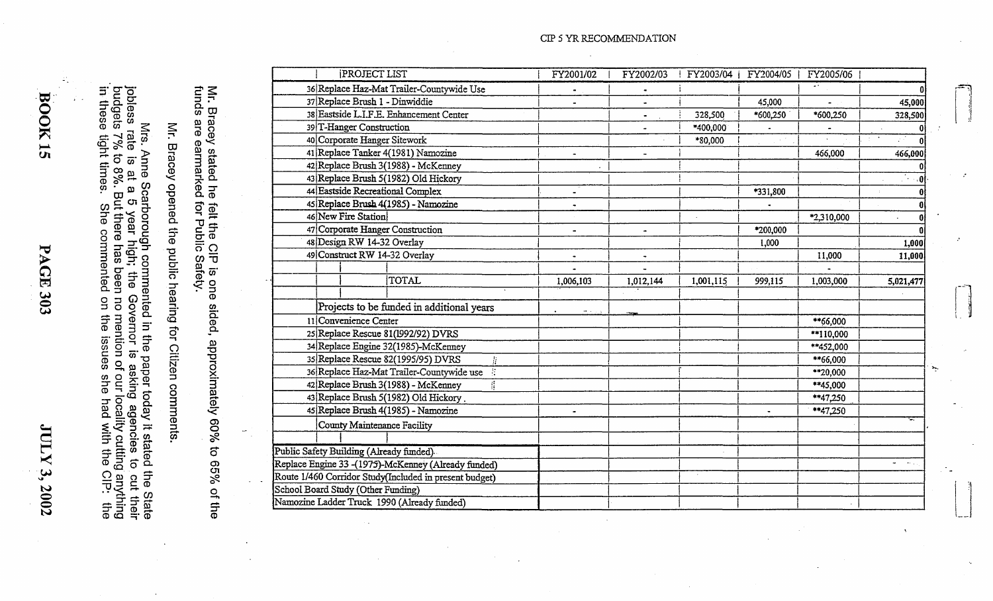£,

Mrs. Anne Scarborough commented in the paper today it stated the State jobless rate is at a 5 year high; the Governor is asking agencies to cut their budgets 7% to 8%. But there has been no mention of our locality cutting

Mr. Bracey opened the public hearing for Citizen comments.

Mr. Bracey stated he felt the CIP is one sided, approximately 60% to 65% of the<br>funds are earmarked for Public Safety.

 $\frac{2\pi}{\pi}$ 

|                                                        | <b>PROJECT LIST</b>                             | FY2001/02                | FY2002/03                | i FY2003/04 | FY2004/05 | FY2005/06  |              |
|--------------------------------------------------------|-------------------------------------------------|--------------------------|--------------------------|-------------|-----------|------------|--------------|
|                                                        | 36 Replace Haz-Mat Trailer-Countywide Use       |                          |                          |             |           |            | O.           |
|                                                        | 37 Replace Brush 1 - Dinwiddie                  |                          |                          |             | 45,000    |            | 45,000       |
|                                                        | 38 Eastside L.I.F.E. Enhancement Center         |                          | $\bullet$                | 328,500     | *600,250  | *600,250   | 328,500      |
|                                                        | 39 T-Hanger Construction                        |                          |                          | *400,000    |           |            | 0            |
|                                                        | 40 Corporate Hanger Sitework                    |                          |                          | *80,000     |           |            | 77<br> 0     |
|                                                        | 41 Replace Tanker 4(1981) Namozine              | $\overline{\phantom{a}}$ | $\overline{\phantom{a}}$ |             |           | 466,000    | 466,000      |
|                                                        | 42 Replace Brush 3(1988) - McKenney             |                          |                          |             |           |            | $\mathbf{0}$ |
|                                                        | 43 Replace Brush 5(1982) Old Hickory            |                          |                          |             |           |            | $\ddotsc 0$  |
|                                                        | 44 Eastside Recreational Complex                |                          |                          |             | *331,800  |            | $\mathbf{0}$ |
|                                                        | 45 Replace Brush 4(1985) - Namozine             |                          |                          |             |           |            | $\mathbf{0}$ |
|                                                        | 46 New Fire Station                             |                          |                          |             |           | *2,310,000 | $\mathbf{0}$ |
|                                                        | 47 Corporate Hanger Construction                |                          | $\ddot{\phantom{1}}$     |             | *200,000  |            | $\mathbf{0}$ |
|                                                        | 48 Design RW 14-32 Overlay                      |                          |                          |             | 1,000     |            | 1,000        |
|                                                        | 49 Construct RW 14-32 Overlay                   | $\bullet$                | $\tilde{\phantom{a}}$    |             |           | 11,000     | 11,000       |
|                                                        |                                                 | $\bullet$                | $\hbox{\small -}$        |             |           |            |              |
|                                                        | TOTAL                                           | 1,006,103                | 1,012,144                | 1,001,115   | 999,115   | 1,003,000  | 5,021,477    |
|                                                        |                                                 |                          |                          |             |           |            |              |
|                                                        | Projects to be funded in additional years       | <b>Harry Corp.</b>       |                          |             |           |            |              |
|                                                        | 11 Convenience Center                           |                          |                          |             |           | **66,000   |              |
|                                                        | 25 Replace Rescue 81(1992/92) DVRS              |                          |                          |             |           | **110,000  |              |
|                                                        | 34 Replace Engine 32(1985)-McKenney             |                          |                          |             |           | **452,000  |              |
|                                                        | 35 Replace Rescue 82(1995/95) DVRS<br>盐         |                          |                          |             |           | **66,000   |              |
|                                                        | Ŧ,<br>36 Replace Haz-Mat Trailer-Countywide use |                          |                          |             |           | **20,000   |              |
|                                                        | 42 Replace Brush 3(1988) - McKenney<br>ī,       |                          |                          |             |           | **45,000   |              |
|                                                        | 43 Replace Brush 5(1982) Old Hickory.           |                          |                          |             |           | **47,250   |              |
|                                                        | 45 Replace Brush 4(1985) - Namozine             |                          |                          |             |           | **47,250   |              |
|                                                        | County Maintenance Facility                     |                          |                          |             |           |            |              |
|                                                        |                                                 |                          |                          |             |           |            |              |
|                                                        | Public Safety Building (Already funded).        |                          |                          |             |           |            |              |
| Replace Engine 33 -(1975)-McKenney (Already funded)    |                                                 |                          |                          |             |           |            |              |
| Route 1/460 Corridor Study(Included in present budget) |                                                 |                          |                          |             |           |            |              |
| School Board Study (Other Funding)                     |                                                 |                          |                          |             |           |            |              |
|                                                        | Namozine Ladder Truck 1990 (Already funded)     |                          |                          |             |           |            |              |

 $\frac{1}{2}$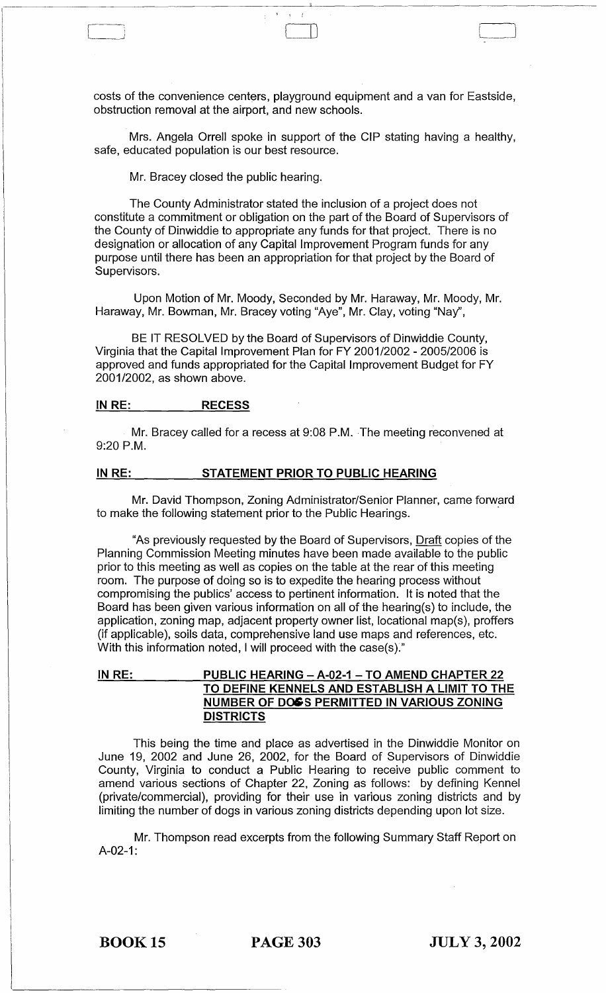costs of the convenience centers, playground equipment and a van for Eastside, obstruction removal at the airport, and new schools.

Mrs. Angela Orrell spoke in support of the CIP stating having a healthy, safe, educated population is our best resource.

Mr. Bracey closed the public hearing.

The County Administrator stated the inclusion of a project does not constitute a commitment or obligation on the part of the Board of Supervisors of the County of Dinwiddie to appropriate any funds for that project. There is no designation or allocation of any Capital Improvement Program funds for any purpose until there has been an appropriation for that project by the Board of Supervisors.

Upon Motion of Mr. Moody, Seconded by Mr. Haraway, Mr. Moody, Mr. Haraway, Mr. Bowman, Mr. Bracey voting "Aye", Mr. Clay, voting "Nay",

BE IT RESOLVED by the Board of Supervisors of Dinwiddie County, Virginia that the Capital Improvement Plan for FY 2001/2002 - 2005/2006 is approved and funds appropriated for the Capital Improvement Budget for FY 2001/2002, as shown above.

#### IN RE: RECESS

 $\Box$ 

Mr. Bracey called for a recess at 9:08 P.M. The meeting reconvened at 9:20 P.M.

#### IN RE: STATEMENT PRIOR TO PUBLIC HEARING

Mr. David Thompson, Zoning Administrator/Senior Planner, came forward to make the following statement prior to the Public Hearings. .

"As previously requested by the Board of Supervisors, Draft copies of the Planning Commission Meeting minutes have been made available to the public prior to this meeting as well as copies on the table at the rear of this meeting room. The purpose of doing so is to expedite the hearing process without compromising the publics' access to pertinent information. It is noted that the Board has been given various information on all of the hearing(s) to include, the application, zoning map, adjacent property owner list, locational map(s), proffers (if applicable), soils data, comprehensive land use maps and references, etc. With this information noted, I will proceed with the case(s)."

#### IN RE: PUBLIC HEARING - A-02-1 - TO AMEND CHAPTER 22 TO DEFINE KENNELS AND ESTABLISH A LIMIT TO THE NUMBER OF DQ\$S PERMITTED IN VARIOUS ZONING **DISTRICTS**

This being the time and place as advertised in the Dinwiddie Monitor on June 19, 2002 and June 26, 2002, for the Board of Supervisors of Dinwiddie County, Virginia to conduct a Public Hearing to receive public comment to amend various sections of Chapter 22, Zoning as follows: by defining Kennel (private/commercial), providing for their use in various zoning districts and by limiting the number of dogs in various zoning districts depending upon lot size.

Mr. Thompson read excerpts from the following Summary Staff Report on  $A-02-1$ :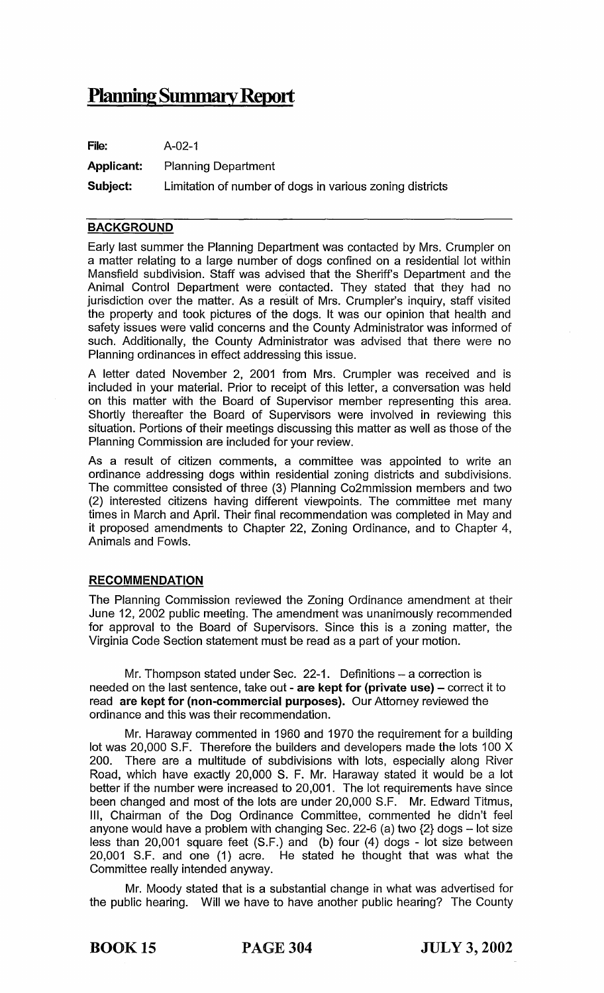# **Planning Summary Report**

| File:             | $A - 02 - 1$                                             |
|-------------------|----------------------------------------------------------|
| <b>Applicant:</b> | <b>Planning Department</b>                               |
| Subject:          | Limitation of number of dogs in various zoning districts |

## **BACKGROUND**

Early last summer the Planning Department was contacted by Mrs. Crumpler on a matter relating to a large number of dogs confined on a residential lot within Mansfield subdivision. Staff was advised that the Sheriff's Department and the Animal Control Department were contacted. They stated that they had no jurisdiction over the matter. As a result of Mrs. Crumpler's inquiry, staff visited the property and took pictures of the dogs. It was our opinion that health and safety issues were valid concerns and the County Administrator was informed of such. Additionally, the County Administrator was advised that there were no Planning ordinances in effect addressing this issue.

A letter dated November 2, 2001 from Mrs. Crumpler was received and is included in your material. Prior to receipt of this letter, a conversation was held on this matter with the Board of Supervisor member representing this area. Shortly thereafter the Board of Supervisors were involved in reviewing this situation. Portions of their meetings discussing this matter as well as those of the Planning Commission are included for your review.

As a result of citizen comments, a committee was appointed to write an ordinance addressing dogs within residential zoning districts and subdivisions. The committee consisted of three (3) Planning C02mmission members and two (2) interested citizens having different viewpoints. The committee met many times in March and April. Their final recommendation was completed in May and it proposed amendments to Chapter 22, Zoning Ordinance, and to Chapter 4, Animals and Fowls.

## **RECOMMENDATION**

The Planning Commission reviewed the Zoning Ordinance amendment at their June 12, 2002 public meeting. The amendment was unanimously recommended for approval to the Board of Supervisors. Since this is a zoning matter, the Virginia Code Section statement must be read as a part of your motion.

Mr. Thompson stated under Sec. 22-1. Definitions - a correction is needed on the last sentence, take out - are kept for (private use) – correct it to read **are kept for (non-commercial purposes).** Our Attorney reviewed the ordinance and this was their recommendation.

Mr. Haraway commented in 1960 and 1970 the requirement for a building lot was 20,000 S.F. Therefore the builders and developers made the lots 100  $\overline{X}$ 200. There are a multitude of subdivisions with lots, especially along River Road, which have exactly 20,000 S. F. Mr. Haraway stated it would be a lot better if the number were increased to 20,001. The lot requirements have since been changed and most of the lots are under 20,000 S.F. Mr. Edward Titmus, **III,** Chairman of the Dog Ordinance Committee, commented he didn't feel anyone would have a problem with changing Sec. 22-6 (a) two  $\{2\}$  dogs  $-$  lot size less than 20,001 square feet (S.F.) and (b) four (4) dogs - lot size between 20,001 S.F. and one (1) acre. He stated he thought that was what the Committee really intended anyway.

Mr. Moody stated that is a substantial change in what was advertised for the public hearing. Will we have to have another public hearing? The County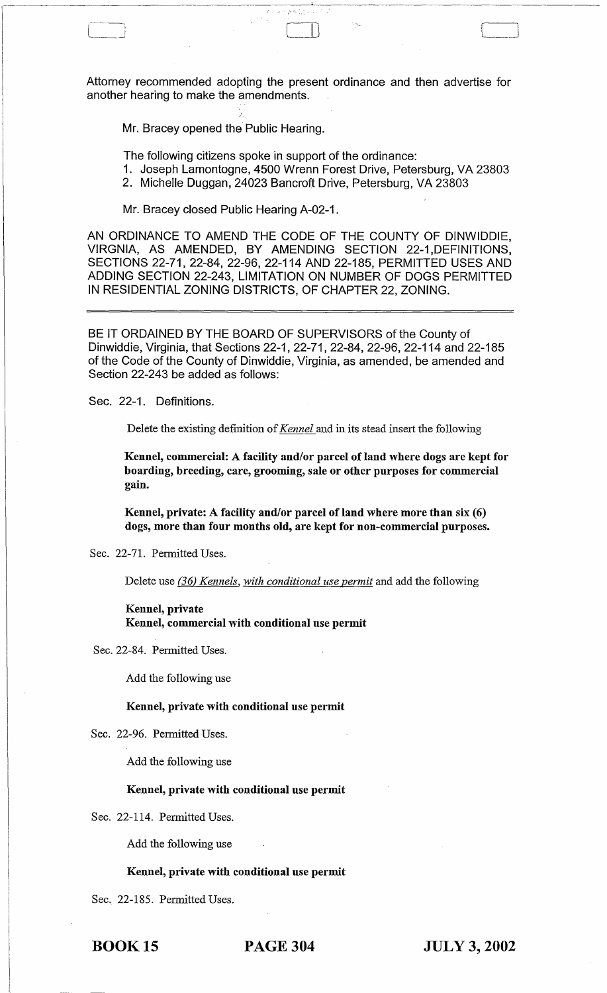Attorney recommended adopting the present ordinance and then advertise for another hearing to make the amendments.

---~---- ------------------'-----~--------------~

 $\Box$ 

Mr. Bracey opened the Public Hearing.

The following citizens spoke in support of the ordinance:

- 1. Joseph Lamontogne, 4500 Wrenn Forest Drive, Petersburg, VA 23803
- 2. Michelle Duggan, 24023 Bancroft Drive, Petersburg, VA 23803

Mr. Bracey closed Public Hearing A-02-1.

AN ORDINANCE TO AMEND THE CODE OF THE COUNTY OF DINWIDDIE, VIRGNIA, AS AMENDED, BY AMENDING SECTION 22-1 ,DEFINITIONS, SECTIONS 22-71, 22-84, 22-96, 22-114 AND 22-185, PERMITTED USES AND ADDING SECTION 22-243, LIMITATION ON NUMBER OF DOGS PERMITTED IN RESIDENTIAL ZONING DISTRICTS, OF CHAPTER 22, ZONING.

BE IT ORDAINED BY THE BOARD OF SUPERVISORS of the County of Dinwiddie, Virginia, that Sections 22-1,22-71,22-84, 22-96, 22-114 and 22-185 of the Code of the County of Dinwiddie, Virginia, as amended, be amended and Section 22-243 be added as follows:

Sec. 22-1. Definitions.

Delete the existing definition of *Kennel* and in its stead insert the following

Kennel, commercial: A facility and/or parcel of land where dogs are kept for boarding, breeding, care, grooming, sale or other purposes for commercial gain.

Kennel, private: A facility and/or parcel of land where more than six (6) dogs, more than four months old, are kept for non-commercial purposes.

Sec. 22-71. Permitted Uses.

Delete use (36) *Kennels, with conditional use permit* and add the following

Kennel, private Kennel, commercial with conditional use permit

Sec. 22-84. Pennitted Uses.

Add the following use

#### Kennel, private with conditional use permit

Sec. 22-96. Pennitted Uses.

Add the following use

#### Kennel, private with conditional use permit

Sec. 22-114. Permitted Uses.

Add the following use

#### Kennel, private with conditional use permit

Sec. 22-185. Pennitted Uses.

BOOK 15 PAGE 304 JULY 3,2002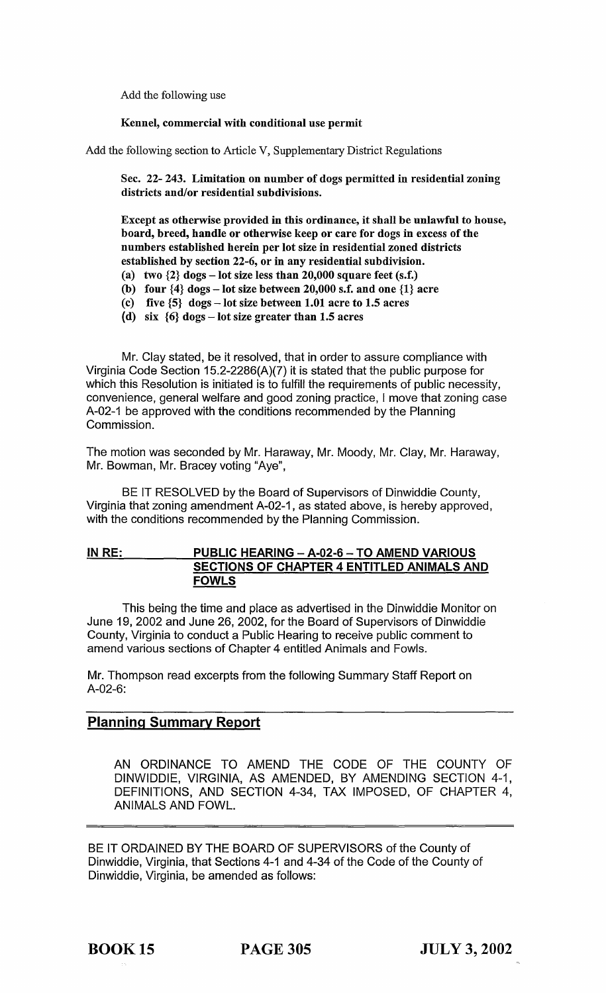Add the following use

#### Kennel, commercial with conditional use permit

Add the following section to Article V, Supplementary District Regulations

Sec. 22- 243. Limitation on number of dogs permitted in residential zoning districts and/or residential subdivisions.

Except as otherwise provided in this ordinance, it shall be unlawful to house, board, breed, handle or otherwise keep or care for dogs in excess of the numbers established herein per lot size in residential zoned districts established by section 22-6, or in any residential subdivision.

- (a) two  $\{2\}$  dogs lot size less than 20,000 square feet (s.f.)
- (b) four  $\{4\}$  dogs lot size between 20,000 s.f. and one  $\{1\}$  acre
- (c) five  ${5}$  dogs lot size between 1.01 acre to 1.5 acres
- (d) six  $\{6\}$  dogs lot size greater than 1.5 acres

Mr. Clay stated, be it resolved, that in order to assure compliance with Virginia Code Section 15.2-2286(A)(7) it is stated that the public purpose for which this Resolution is initiated is to fulfill the requirements of public necessity, convenience, general welfare and good zoning practice, I move that zoning case A-02-1 be approved with the conditions recommended by the Planning Commission.

The motion was seconded by Mr. Haraway, Mr. Moody, Mr. Clay, Mr. Haraway, Mr. Bowman, Mr. Bracey voting "Aye",

BE IT RESOLVED by the Board of Supervisors of Dinwiddie County, Virginia that zoning amendment A-02-1, as stated above, is hereby approved, with the conditions recommended by the Planning Commission.

#### IN RE: PUBLIC HEARING - A-02-6 - TO AMEND VARIOUS SECTIONS OF CHAPTER 4 ENTITLED ANIMALS AND FOWLS

This being the time and place as advertised in the Dinwiddie Monitor on June 19, 2002 and June 26, 2002, for the Board of Supervisors of Dinwiddie County, Virginia to conduct a Public Hearing to receive public comment to amend various sections of Chapter 4 entitled Animals and Fowls.

Mr. Thompson read excerpts from the following Summary Staff Report on A-02-6:

### Planning Summary Report

AN ORDINANCE TO AMEND THE CODE OF THE COUNTY OF DINWIDDIE, VIRGINIA, AS AMENDED, BY AMENDING SECTION 4-1, DEFINITIONS, AND SECTION 4-34, TAX IMPOSED, OF CHAPTER 4, ANIMALS AND FOWL.

BE IT ORDAINED BY THE BOARD OF SUPERVISORS of the County of Dinwiddie, Virginia, that Sections 4-1 and 4-34 of the Code of the County of Dinwiddie, Virginia, be amended as follows: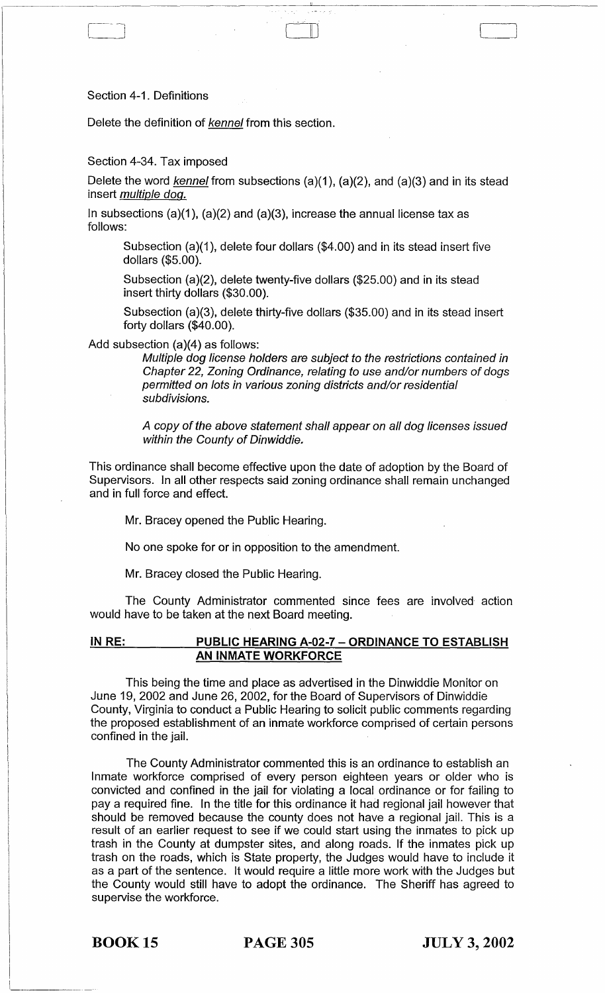Section 4-1. Definitions

-----~~~--~--------------

Delete the definition of kennel from this section.

Section 4-34. Tax imposed

Delete the word kennel from subsections (a)(1), (a)(2), and (a)(3) and in its stead insert multiple dog.

 $\mathbb L$ 

In subsections (a)(1), (a)(2) and (a)(3), increase the annual license tax as follows:

Subsection (a)(1), delete four dollars (\$4.00) and in its stead insert five dollars (\$5.00).

Subsection (a)(2), delete twenty-five dollars (\$25.00) and in its stead insert thirty dollars (\$30.00).

Subsection (a)(3), delete thirty-five dollars (\$35.00) and in its stead insert forty dollars (\$40.00).

Add subsection (a)(4) as follows:

Multiple dog license holders are subject to the restrictions contained in Chapter 22, Zoning Ordinance, relating to use and/or numbers of dogs permitted on lots in various zoning districts and/or residential subdivisions.

A copy of the above statement shall appear on all dog licenses issued within the County of Dinwiddie.

This ordinance shall become effective upon the date of adoption by the Board of Supervisors. In all other respects said zoning ordinance shall remain unchanged and in full force and effect.

Mr. Bracey opened the Public Hearing.

No one spoke for or in opposition to the amendment.

Mr. Bracey closed the Public Hearing.

The County Administrator commented since fees are involved action would have to be taken at the next Board meeting.

#### IN RE: PUBLIC HEARING A-02-7 - ORDINANCE TO ESTABLISH AN INMATE WORKFORCE

This being the time and place as advertised in the Dinwiddie Monitor on June 19, 2002 and June 26, 2002, for the Board of Supervisors of Dinwiddie County, Virginia to conduct a Public Hearing to solicit public comments regarding the proposed establishment of an inmate workforce comprised of certain persons confined in the jail.

The County Administrator commented this is an ordinance to establish an Inmate workforce comprised of every person eighteen years or older who is convicted and confined in the jail for violating a local ordinance or for failing to pay a required fine. In the title for this ordinance it had regional jail however that should be removed because the county does not have a regional jail. This is a result of an earlier request to see if we could start using the inmates to pick up trash in the County at dumpster sites, and along roads. If the inmates pick up trash on the roads, which is State property, the Judges would have to include it as a part of the sentence. It would require a little more work with the Judges but the County would still have to adopt the ordinance. The Sheriff has agreed to supervise the workforce.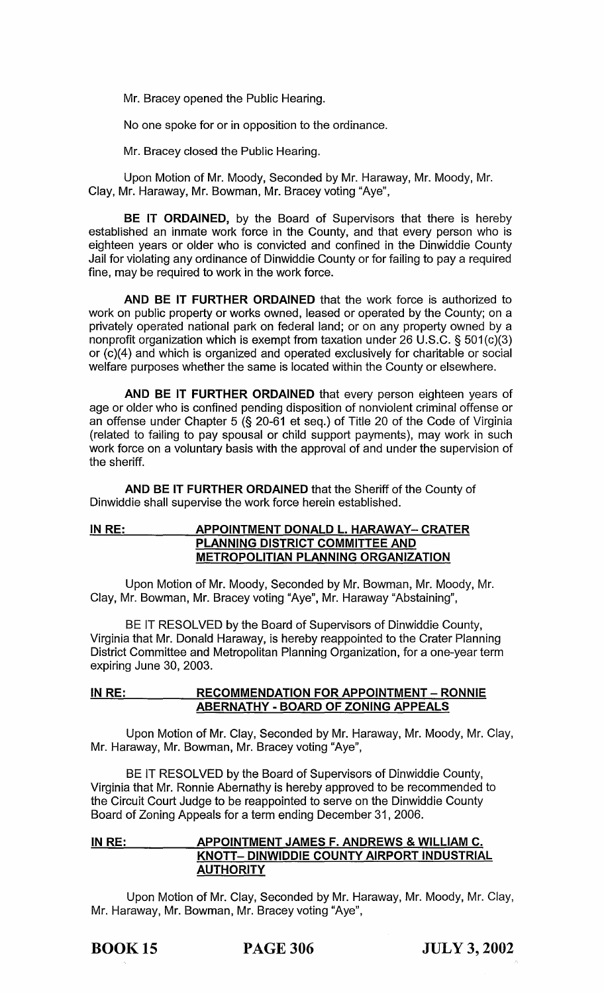Mr. Bracey opened the Public Hearing.

No one spoke for or in opposition to the ordinance.

Mr. Bracey closed the Public Hearing.

Upon Motion of Mr. Moody, Seconded by Mr. Haraway, Mr. Moody, Mr. Clay, Mr. Haraway, Mr. Bowman, Mr. Bracey voting "Aye",

**BE IT ORDAINED,** by the Board of Supervisors that there is hereby established an inmate work force in the County, and that every person who is eighteen years or older who is convicted and confined in the Dinwiddie County Jail for violating any ordinance of Dinwiddie County or for failing to pay a required fine, may be required to work in the work force.

**AND BE IT FURTHER ORDAINED** that the work force is authorized to work on public property or works owned, leased or operated by the County; on a privately operated national park on federal land; or on any property owned by a nonprofit organization which is exempt from taxation under 26 U.S.C. § 501 (c)(3) or (c)(4) and which is organized and operated exclusively for charitable or social welfare purposes whether the same is located within the County or elsewhere.

**AND BE IT FURTHER ORDAINED** that every person eighteen years of age or older who is confined pending disposition of nonviolent criminal offense or an offense under Chapter 5 (§ 20-61 et seq.) of Title 20 of the Code of Virginia (related to failing to pay spousal or child support payments), may work in such work force on a voluntary basis with the approval of and under the supervision of the sheriff.

**AND BE IT FURTHER ORDAINED** that the Sheriff of the County of Dinwiddie shall supervise the work force herein established.

#### **IN RE: APPOINTMENT DONALD L. HARAWAY- CRATER PLANNING DISTRICT COMMITTEE AND METROPOLITIAN PLANNING ORGANIZATION**

Upon Motion of Mr. Moody, Seconded by Mr. Bowman, Mr. Moody, Mr. Clay, Mr. Bowman, Mr. Bracey voting "Aye", Mr. Haraway "Abstaining",

BE IT RESOLVED by the Board of Supervisors of Dinwiddie County, Virginia that Mr. Donald Haraway, is hereby reappointed to the Crater Planning District Committee and Metropolitan Planning Organization, for a one-year term expiring June 30, 2003.

#### **INRE: RECOMMENDATION FOR APPOINTMENT - RONNIE ABERNATHY - BOARD OF ZONING APPEALS**

Upon Motion of Mr. Clay, Seconded by Mr. Haraway, Mr. Moody, Mr. Clay, Mr. Haraway, Mr. Bowman, Mr. Bracey voting "Aye",

BE IT RESOLVED by the Board of Supervisors of Dinwiddie County, Virginia that Mr. Ronnie Abernathy is hereby approved to be recommended to the Circuit Court Judge to be reappointed to serve on the Dinwiddie County Board of Zoning Appeals for a term ending December 31,2006.

#### **IN RE: APPOINTMENT JAMES F. ANDREWS & WILLIAM C. KNOTT-DINWIDDIE COUNTY AIRPORT INDUSTRIAL AUTHORITY**

Upon Motion of Mr. Clay, Seconded by Mr. Haraway, Mr. Moody, Mr. Clay, Mr. Haraway, Mr. Bowman, Mr. Bracey voting "Aye",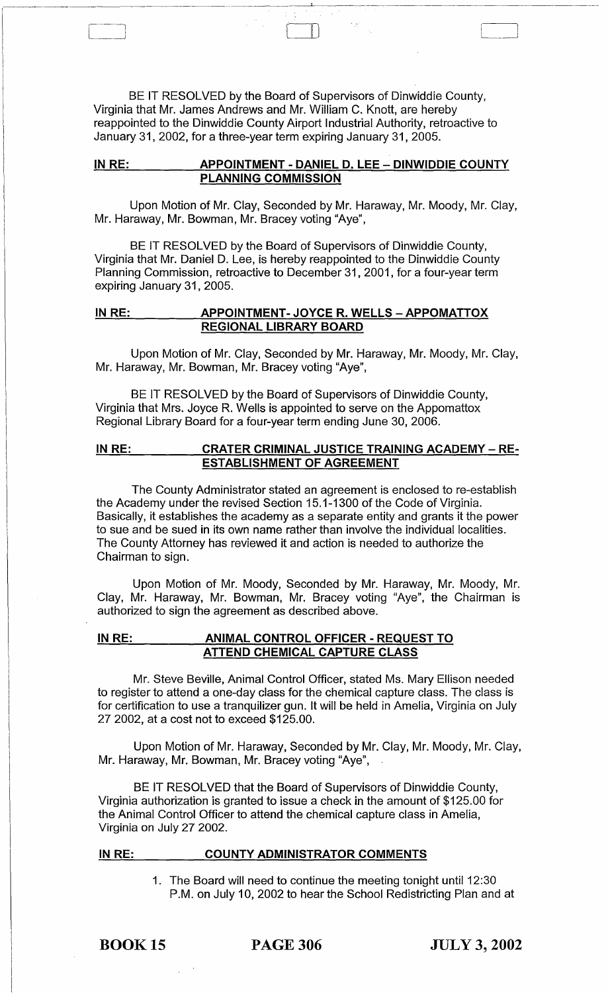BE IT RESOLVED by the Board of Supervisors of Dinwiddie County, Virginia that Mr. James Andrews and Mr. William C. Knott, are hereby reappointed to the Dinwiddie County Airport Industrial Authority, retroactive to January 31,2002, for a three-year term expiring January 31,2005.

 $\sqcup$ 

-~-----~-----

#### IN RE: APPOINTMENT - DANIEL D. LEE - DINWIDDIE COUNTY PLANNING COMMISSION

Upon Motion of Mr. Clay, Seconded by Mr. Haraway, Mr. Moody, Mr. Clay, Mr. Haraway, Mr. Bowman, Mr. Bracey voting "Aye",

BE IT RESOLVED by the Board of Supervisors of Dinwiddie County, Virginia that Mr. Daniel D. Lee, is hereby reappointed to the Dinwiddie County Planning Commission, retroactive to December 31,2001, for a four-year term expiring January 31, 2005.

## IN RE: APPOINTMENT - JOYCE R. WELLS - APPOMATTOX REGIONAL LIBRARY BOARD

Upon Motion of Mr. Clay, Seconded by Mr. Haraway, Mr. Moody, Mr. Clay, Mr. Haraway, Mr. Bowman, Mr. Bracey voting "Aye",

BE IT RESOLVED by the Board of Supervisors of Dinwiddie County, Virginia that Mrs. Joyce R. Wells is appointed to serve on the Appomattox Regional Library Board for a four-year term ending June 30, 2006.

#### IN RE: CRATER CRIMINAL JUSTICE TRAINING ACADEMY - RE-ESTABLISHMENT OF AGREEMENT

The County Administrator stated an agreement is enclosed to re-establish the Academy under the revised Section 15.1-1300 of the Code of Virginia. Basically, it establishes the academy as a separate entity and grants it the power to sue and be sued in its own name rather than involve the individual localities. The County Attorney has reviewed it and action is needed to authorize the Chairman to sign.

Upon Motion of Mr. Moody, Seconded by Mr. Haraway, Mr. Moody, Mr. Clay, Mr. Haraway, Mr. Bowman, Mr. Bracey voting "Aye", the Chairman is authorized to sign the agreement as described above.

#### IN RE: ANIMAL CONTROL OFFICER - REQUEST TO ATTEND CHEMICAL CAPTURE CLASS

Mr. Steve Beville, Animal Control Officer, stated Ms. Mary Ellison needed to register to attend a one-day class for the chemical capture class. The class is for certification to use a tranquilizer gun. It will be held in Amelia, Virginia on July 272002, at a cost not to exceed \$125.00.

Upon Motion of Mr. Haraway, Seconded by Mr. Clay, Mr. Moody, Mr. Clay, Mr. Haraway, Mr. Bowman, Mr. Bracey voting "Aye",

BE IT RESOLVED that the Board of Supervisors of Dinwiddie County, Virginia authorization is granted to issue a check in the amount of \$125.00 for the Animal Control Officer to attend the chemical capture class in Amelia, Virginia on July 27 2002.

#### IN RE: COUNTY ADMINISTRATOR COMMENTS

1. The Board will need to continue the meeting tonight until 12:30 P.M. on July 10,2002 to hear the School Redistricting Plan and at

BOOK 15 PAGE 306 JULY 3,2002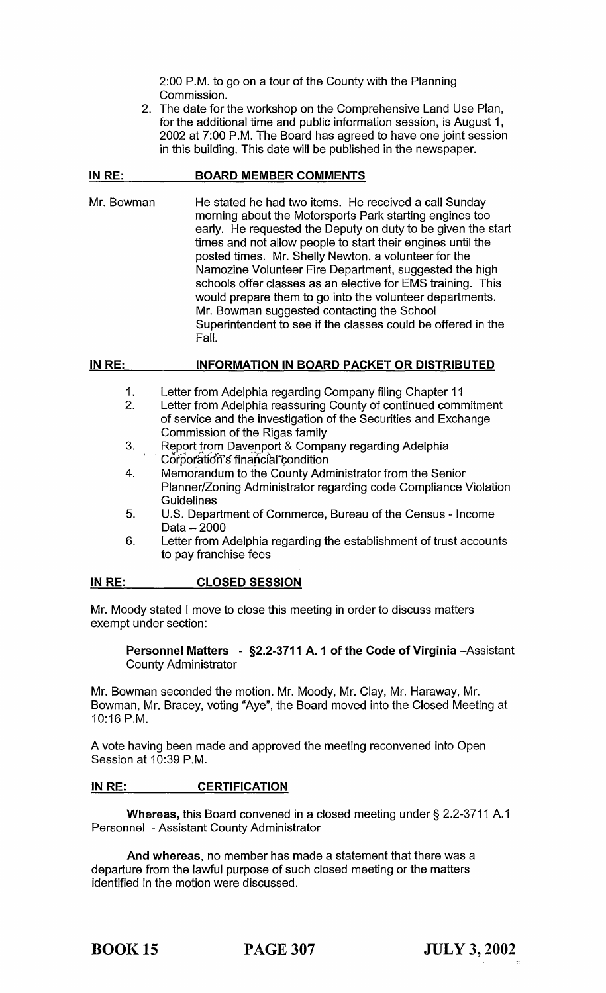2:00 P.M. to go on a tour of the County with the Planning Commission.

2. The date for the workshop on the Comprehensive Land Use Plan, for the additional time and public information session, is August 1, 2002 at 7:00 P.M. The Board has agreed to have one joint session in this building. This date will be published in the newspaper.

#### IN RE: BOARD MEMBER COMMENTS

Mr. Bowman He stated he had two items. He received a call Sunday morning about the Motorsports Park starting engines too early. He requested the Deputy on duty to be given the start times and not allow people to start their engines until the posted times. Mr. Shelly Newton, a volunteer for the Namozine Volunteer Fire Department, suggested the high schools offer classes as an elective for EMS training. This would prepare them to go into the volunteer departments. Mr. Bowman suggested contacting the School Superintendent to see if the classes could be offered in the Fall.

#### IN RE: INFORMATION IN BOARD PACKET OR DISTRIBUTED

- 1. Letter from Adelphia regarding Company filing Chapter 11
- 2. Letter from Adelphia reassuring County of continued commitment of service and the investigation of the Securities and Exchange Commission of the Rigas family
- 3. Report from Davenport & Company regarding Adelphia Corporation's financial condition
- 4. Memorandum to the County Administrator from the Senior Planner/Zoning Administrator regarding code Compliance Violation **Guidelines**
- 5. U.S. Department of Commerce, Bureau of the Census Income Data  $-2000$
- 6. Letter from Adelphia regarding the establishment of trust accounts to pay franchise fees

#### IN RE: CLOSED SESSION

Mr. Moody stated I move to close this meeting in order to discuss matters exempt under section:

#### Personnel Matters - §2.2-3711 A. 1 of the Code of Virginia - Assistant County Administrator

Mr. Bowman seconded the motion. Mr. Moody, Mr. Clay, Mr. Haraway, Mr. Bowman, Mr. Bracey, voting "Aye", the Board moved into the Closed Meeting at 10:16 P.M.

A vote having been made and approved the meeting reconvened into Open Session at 10:39 P.M.

#### IN RE: **CERTIFICATION**

Whereas, this Board convened in a closed meeting under § 2.2-3711 A.1 Personnel - Assistant County Administrator

And whereas, no member has made a statement that there was a departure from the lawful purpose of such closed meeting or the matters identified in the motion were discussed.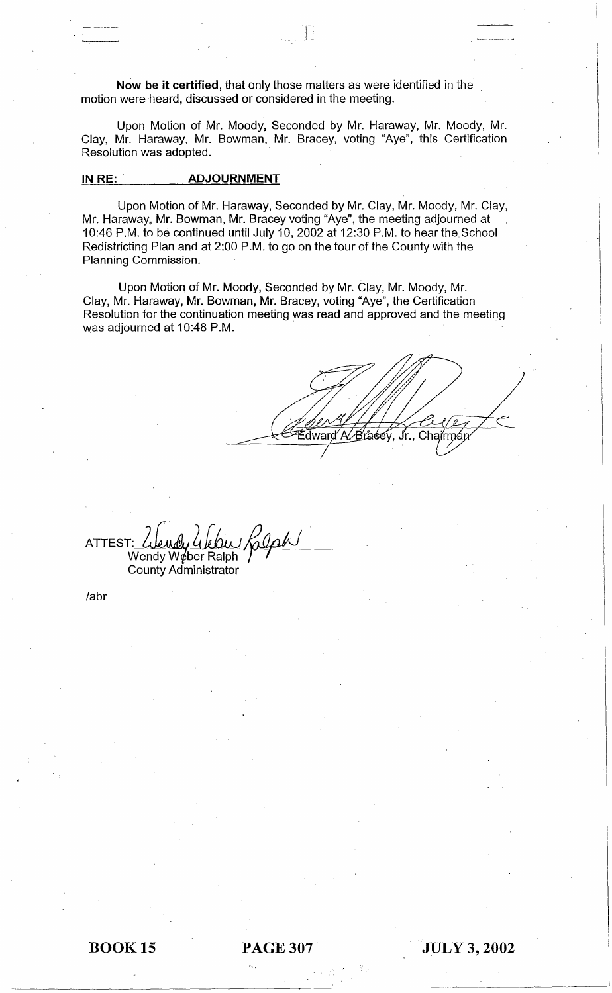Now be it certified, that only those matters as were identified in the motion were heard, discussed or considered in the meeting.

Upon Motion of Mr. Moody, Seconded by Mr. Haraway, Mr. Moody, Mr. Clay, Mr. Haraway, Mr. Bowman, Mr. Bracey, voting "Aye", this Certification Resolution was adopted.

 $\Gamma$ 

#### **IN RE:** ADJOURNMENT

Upon Motion of Mr. Haraway, Seconded by Mr. Clay, Mr. Moody, Mr. Clay, Mr. Haraway, Mr. Bowman, Mr. Bracey voting "Aye", the meeting adjourned at 10:46 P.M. to be continued until July 10, 2002 at 12:30 P.M. to hear the. School Redistricting Plan and at 2:00 P.M. to go on the tour of the County with the Planning Commission.

Upon Motion of Mr. Moody, Seconded by Mr. Clay, Mr. Moody, Mr. Clay, Mr. Haraway, Mr. Bowman, Mr. Bracey, voting "Aye", the Certification Resolution for the continuation meeting was read and approved and the meeting was adjourned at 10:48 P.M.

tÉdward∕ A⁄ -Bracev. Jr.. Chairmán

ATTEST: r: Wendy Glebu Kalph County Administrator '

/abr

': .. "

**BOOK 15 PAGE 307 JULY 3, 2002** 

.\_--\_.